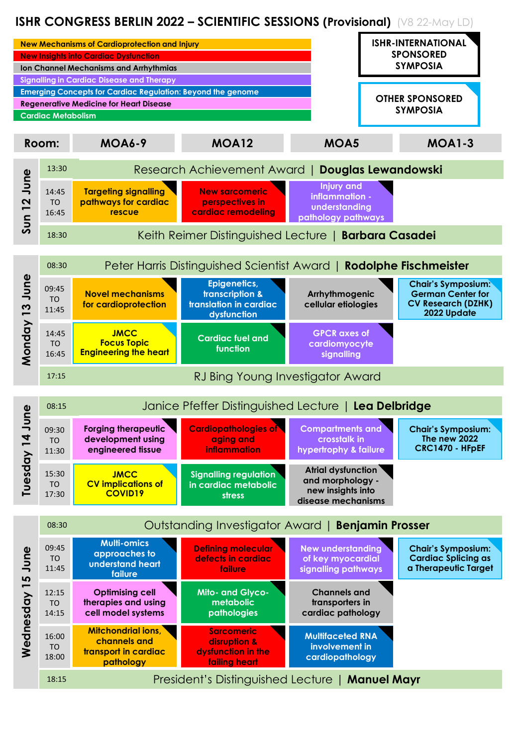# **ISHR CONGRESS BERLIN 2022 – SCIENTIFIC SESSIONS (Provisional)** (V8 22-May LD)

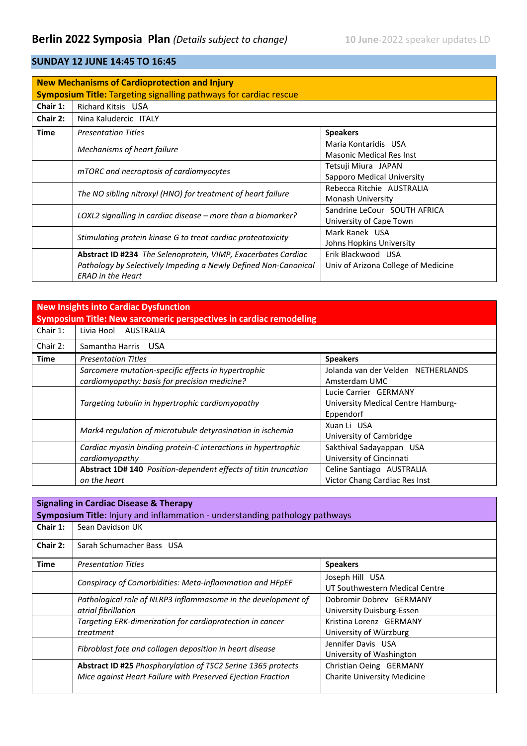# **SUNDAY 12 JUNE 14:45 TO 16:45**

| <b>New Mechanisms of Cardioprotection and Injury</b><br><b>Symposium Title: Targeting signalling pathways for cardiac rescue</b> |                                                                                                                                                                     |                                                           |
|----------------------------------------------------------------------------------------------------------------------------------|---------------------------------------------------------------------------------------------------------------------------------------------------------------------|-----------------------------------------------------------|
| Chair 1:                                                                                                                         | <b>Richard Kitsis USA</b>                                                                                                                                           |                                                           |
| Chair 2:                                                                                                                         | Nina Kaludercic ITALY                                                                                                                                               |                                                           |
| <b>Time</b>                                                                                                                      | <b>Presentation Titles</b>                                                                                                                                          | <b>Speakers</b>                                           |
|                                                                                                                                  | Mechanisms of heart failure                                                                                                                                         | Maria Kontaridis USA<br><b>Masonic Medical Res Inst</b>   |
|                                                                                                                                  | mTORC and necroptosis of cardiomyocytes                                                                                                                             | Tetsuji Miura JAPAN<br>Sapporo Medical University         |
|                                                                                                                                  | The NO sibling nitroxyl (HNO) for treatment of heart failure                                                                                                        | Rebecca Ritchie AUSTRALIA<br>Monash University            |
|                                                                                                                                  | LOXL2 signalling in cardiac disease – more than a biomarker?                                                                                                        | Sandrine LeCour SOUTH AFRICA<br>University of Cape Town   |
|                                                                                                                                  | Stimulating protein kinase G to treat cardiac proteotoxicity                                                                                                        | Mark Ranek USA<br>Johns Hopkins University                |
|                                                                                                                                  | <b>Abstract ID #234</b> The Selenoprotein, VIMP, Exacerbates Cardiac<br>Pathology by Selectively Impeding a Newly Defined Non-Canonical<br><b>ERAD</b> in the Heart | Erik Blackwood USA<br>Univ of Arizona College of Medicine |

### **New Insights into Cardiac Dysfunction**

| Symposium Title: New sarcomeric perspectives in cardiac remodeling |                                                                                                      |                                                                          |
|--------------------------------------------------------------------|------------------------------------------------------------------------------------------------------|--------------------------------------------------------------------------|
| Chair 1:                                                           | Livia Hool<br>AUSTRALIA                                                                              |                                                                          |
| Chair 2:                                                           | Samantha Harris USA                                                                                  |                                                                          |
| Time                                                               | <b>Presentation Titles</b>                                                                           | <b>Speakers</b>                                                          |
|                                                                    | Sarcomere mutation-specific effects in hypertrophic<br>cardiomyopathy: basis for precision medicine? | Jolanda van der Velden NETHERLANDS<br>Amsterdam UMC                      |
|                                                                    | Targeting tubulin in hypertrophic cardiomyopathy                                                     | Lucie Carrier GERMANY<br>University Medical Centre Hamburg-<br>Eppendorf |
|                                                                    | Mark4 regulation of microtubule detyrosination in ischemia                                           | Xuan Li USA<br>University of Cambridge                                   |
|                                                                    | Cardiac myosin binding protein-C interactions in hypertrophic<br>cardiomyopathy                      | Sakthival Sadayappan USA<br>University of Cincinnati                     |
|                                                                    | Abstract 1D# 140 Position-dependent effects of titin truncation                                      | Celine Santiago AUSTRALIA                                                |
|                                                                    | on the heart                                                                                         | Victor Chang Cardiac Res Inst                                            |

| <b>Signaling in Cardiac Disease &amp; Therapy</b><br>Symposium Title: Injury and inflammation - understanding pathology pathways |                                                                                                                                    |                                                               |
|----------------------------------------------------------------------------------------------------------------------------------|------------------------------------------------------------------------------------------------------------------------------------|---------------------------------------------------------------|
| Chair 1:                                                                                                                         | Sean Davidson UK                                                                                                                   |                                                               |
| Chair 2:                                                                                                                         | Sarah Schumacher Bass USA                                                                                                          |                                                               |
| Time                                                                                                                             | <b>Presentation Titles</b>                                                                                                         | <b>Speakers</b>                                               |
|                                                                                                                                  | Conspiracy of Comorbidities: Meta-inflammation and HFpEF                                                                           | Joseph Hill USA<br>UT Southwestern Medical Centre             |
|                                                                                                                                  | Pathological role of NLRP3 inflammasome in the development of<br>atrial fibrillation                                               | Dobromir Dobrey GERMANY<br>University Duisburg-Essen          |
|                                                                                                                                  | Targeting ERK-dimerization for cardioprotection in cancer<br>treatment                                                             | Kristina Lorenz GERMANY<br>University of Würzburg             |
|                                                                                                                                  | Fibroblast fate and collagen deposition in heart disease                                                                           | Jennifer Davis USA<br>University of Washington                |
|                                                                                                                                  | <b>Abstract ID #25 Phosphorylation of TSC2 Serine 1365 protects</b><br>Mice against Heart Failure with Preserved Ejection Fraction | Christian Oeing GERMANY<br><b>Charite University Medicine</b> |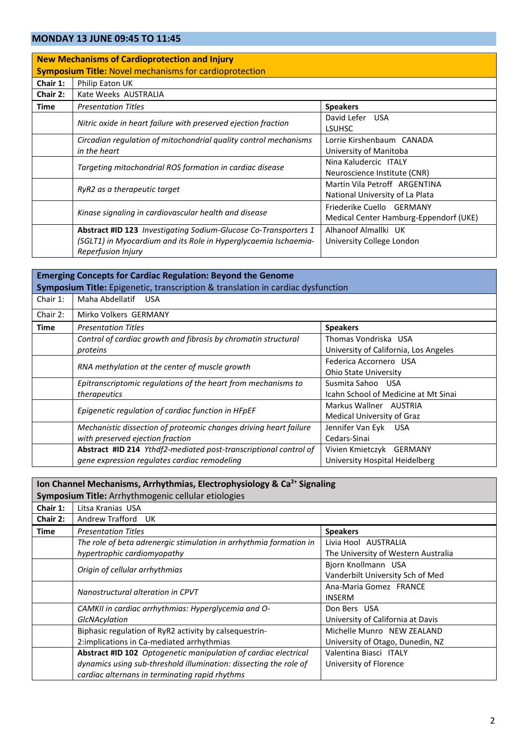#### **MONDAY 13 JUNE 09:45 TO 11:45**

|                                                               | <b>New Mechanisms of Cardioprotection and Injury</b>                   |                                        |  |
|---------------------------------------------------------------|------------------------------------------------------------------------|----------------------------------------|--|
| <b>Symposium Title: Novel mechanisms for cardioprotection</b> |                                                                        |                                        |  |
| Chair 1:                                                      | Philip Eaton UK                                                        |                                        |  |
| Chair 2:                                                      | Kate Weeks AUSTRALIA                                                   |                                        |  |
| <b>Time</b>                                                   | <b>Presentation Titles</b>                                             | <b>Speakers</b>                        |  |
|                                                               |                                                                        | David Lefer USA                        |  |
|                                                               | Nitric oxide in heart failure with preserved ejection fraction         | <b>LSUHSC</b>                          |  |
|                                                               | Circadian regulation of mitochondrial quality control mechanisms       | Lorrie Kirshenbaum CANADA              |  |
|                                                               | in the heart                                                           | University of Manitoba                 |  |
|                                                               |                                                                        | Nina Kaludercic ITALY                  |  |
|                                                               | Targeting mitochondrial ROS formation in cardiac disease               | Neuroscience Institute (CNR)           |  |
|                                                               |                                                                        | Martin Vila Petroff ARGENTINA          |  |
|                                                               | RyR2 as a therapeutic target                                           | National University of La Plata        |  |
|                                                               |                                                                        | Friederike Cuello GERMANY              |  |
|                                                               | Kinase signaling in cardiovascular health and disease                  | Medical Center Hamburg-Eppendorf (UKE) |  |
|                                                               | <b>Abstract #ID 123</b> Investigating Sodium-Glucose Co-Transporters 1 | Alhanoof Almallki UK                   |  |
|                                                               | (SGLT1) in Myocardium and its Role in Hyperglycaemia Ischaemia-        | University College London              |  |
|                                                               | Reperfusion Injury                                                     |                                        |  |

### **Emerging Concepts for Cardiac Regulation: Beyond the Genome Symposium Title:** Epigenetic, transcription & translation in cardiac dysfunction

| Maha Abdellatif<br><b>USA</b>                                     |                                                |
|-------------------------------------------------------------------|------------------------------------------------|
| Mirko Volkers GERMANY                                             |                                                |
| <b>Presentation Titles</b>                                        | <b>Speakers</b>                                |
| Control of cardiac growth and fibrosis by chromatin structural    | Thomas Vondriska USA                           |
| proteins                                                          | University of California, Los Angeles          |
|                                                                   | Federica Accornero USA                         |
|                                                                   | <b>Ohio State University</b>                   |
| Epitranscriptomic regulations of the heart from mechanisms to     | Susmita Sahoo USA                              |
| therapeutics                                                      | Icahn School of Medicine at Mt Sinai           |
| Epigenetic regulation of cardiac function in HFpEF                | Markus Wallner AUSTRIA                         |
|                                                                   | Medical University of Graz                     |
| Mechanistic dissection of proteomic changes driving heart failure | Jennifer Van Eyk<br><b>USA</b>                 |
| with preserved ejection fraction                                  | Cedars-Sinai                                   |
| Abstract #ID 214 Ythdf2-mediated post-transcriptional control of  | Vivien Kmietczyk GERMANY                       |
| gene expression regulates cardiac remodeling                      | University Hospital Heidelberg                 |
|                                                                   | RNA methylation at the center of muscle growth |

| Ion Channel Mechanisms, Arrhythmias, Electrophysiology & Ca <sup>2+</sup> Signaling |                                                                    |                                     |
|-------------------------------------------------------------------------------------|--------------------------------------------------------------------|-------------------------------------|
| Symposium Title: Arrhythmogenic cellular etiologies                                 |                                                                    |                                     |
| Chair 1:                                                                            | Litsa Kranias USA                                                  |                                     |
| Chair 2:                                                                            | Andrew Trafford UK                                                 |                                     |
| Time                                                                                | <b>Presentation Titles</b>                                         | <b>Speakers</b>                     |
|                                                                                     | The role of beta adrenergic stimulation in arrhythmia formation in | Livia Hool AUSTRALIA                |
|                                                                                     | hypertrophic cardiomyopathy                                        | The University of Western Australia |
|                                                                                     | Origin of cellular arrhythmias                                     | Bjorn Knollmann USA                 |
|                                                                                     |                                                                    | Vanderbilt University Sch of Med    |
|                                                                                     | Nanostructural alteration in CPVT                                  | Ana-Maria Gomez FRANCE              |
|                                                                                     |                                                                    | <b>INSERM</b>                       |
|                                                                                     | CAMKII in cardiac arrhythmias: Hyperglycemia and O-                | Don Bers USA                        |
|                                                                                     | <b>GIcNAcylation</b>                                               | University of California at Davis   |
|                                                                                     | Biphasic regulation of RyR2 activity by calsequestrin-             | Michelle Munro NEW ZEALAND          |
|                                                                                     | 2: implications in Ca-mediated arrhythmias                         | University of Otago, Dunedin, NZ    |
|                                                                                     | Abstract #ID 102 Optogenetic manipulation of cardiac electrical    | Valentina Biasci ITALY              |
|                                                                                     | dynamics using sub-threshold illumination: dissecting the role of  | University of Florence              |
|                                                                                     | cardiac alternans in terminating rapid rhythms                     |                                     |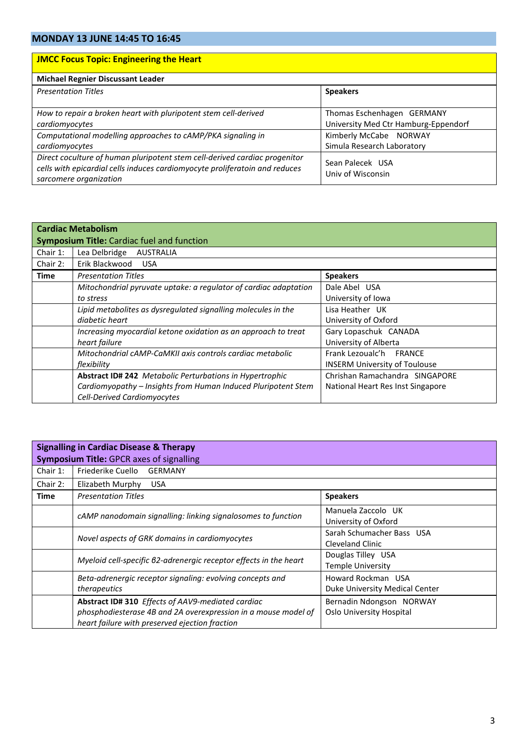| <b>JMCC Focus Topic: Engineering the Heart</b>                                                                                                                                      |                                                                    |
|-------------------------------------------------------------------------------------------------------------------------------------------------------------------------------------|--------------------------------------------------------------------|
| <b>Michael Regnier Discussant Leader</b>                                                                                                                                            |                                                                    |
| <b>Presentation Titles</b>                                                                                                                                                          | <b>Speakers</b>                                                    |
| How to repair a broken heart with pluripotent stem cell-derived<br>cardiomyocytes                                                                                                   | Thomas Eschenhagen GERMANY<br>University Med Ctr Hamburg-Eppendorf |
| Computational modelling approaches to cAMP/PKA signaling in<br>cardiomyocytes                                                                                                       | Kimberly McCabe NORWAY<br>Simula Research Laboratory               |
| Direct coculture of human pluripotent stem cell-derived cardiac progenitor<br>cells with epicardial cells induces cardiomyocyte proliferatoin and reduces<br>sarcomere organization | Sean Palecek USA<br>Univ of Wisconsin                              |

|                                                   | <b>Cardiac Metabolism</b>                                        |                                      |  |
|---------------------------------------------------|------------------------------------------------------------------|--------------------------------------|--|
| <b>Symposium Title: Cardiac fuel and function</b> |                                                                  |                                      |  |
| Chair 1:                                          | Lea Delbridge<br>AUSTRALIA                                       |                                      |  |
| Chair 2:                                          | Erik Blackwood<br><b>USA</b>                                     |                                      |  |
| Time                                              | <b>Presentation Titles</b>                                       | <b>Speakers</b>                      |  |
|                                                   | Mitochondrial pyruvate uptake: a regulator of cardiac adaptation | Dale Abel USA                        |  |
|                                                   | to stress                                                        | University of Iowa                   |  |
|                                                   | Lipid metabolites as dysregulated signalling molecules in the    | Lisa Heather UK                      |  |
|                                                   | diabetic heart                                                   | University of Oxford                 |  |
|                                                   | Increasing myocardial ketone oxidation as an approach to treat   | Gary Lopaschuk CANADA                |  |
|                                                   | heart failure                                                    | University of Alberta                |  |
|                                                   | Mitochondrial cAMP-CaMKII axis controls cardiac metabolic        | Frank Lezoualc'h FRANCE              |  |
|                                                   | flexibility                                                      | <b>INSERM University of Toulouse</b> |  |
|                                                   | <b>Abstract ID# 242</b> Metabolic Perturbations in Hypertrophic  | Chrishan Ramachandra SINGAPORE       |  |
|                                                   | Cardiomyopathy - Insights from Human Induced Pluripotent Stem    | National Heart Res Inst Singapore    |  |
|                                                   | <b>Cell-Derived Cardiomyocytes</b>                               |                                      |  |

| <b>Signalling in Cardiac Disease &amp; Therapy</b><br><b>Symposium Title: GPCR axes of signalling</b> |                                                                                                                                                                       |                                                      |
|-------------------------------------------------------------------------------------------------------|-----------------------------------------------------------------------------------------------------------------------------------------------------------------------|------------------------------------------------------|
| Chair $1$ :                                                                                           | Friederike Cuello<br><b>GERMANY</b>                                                                                                                                   |                                                      |
| Chair 2:                                                                                              | Elizabeth Murphy<br><b>USA</b>                                                                                                                                        |                                                      |
| Time                                                                                                  | <b>Presentation Titles</b>                                                                                                                                            | <b>Speakers</b>                                      |
|                                                                                                       | cAMP nanodomain signalling: linking signalosomes to function                                                                                                          | Manuela Zaccolo UK<br>University of Oxford           |
|                                                                                                       | Novel aspects of GRK domains in cardiomyocytes                                                                                                                        | Sarah Schumacher Bass USA<br>Cleveland Clinic        |
|                                                                                                       | Myeloid cell-specific 62-adrenergic receptor effects in the heart                                                                                                     | Douglas Tilley USA<br><b>Temple University</b>       |
|                                                                                                       | Beta-adrenergic receptor signaling: evolving concepts and<br><i>therapeutics</i>                                                                                      | Howard Rockman USA<br>Duke University Medical Center |
|                                                                                                       | Abstract ID# 310 Effects of AAV9-mediated cardiac<br>phosphodiesterase 4B and 2A overexpression in a mouse model of<br>heart failure with preserved ejection fraction | Bernadin Ndongson NORWAY<br>Oslo University Hospital |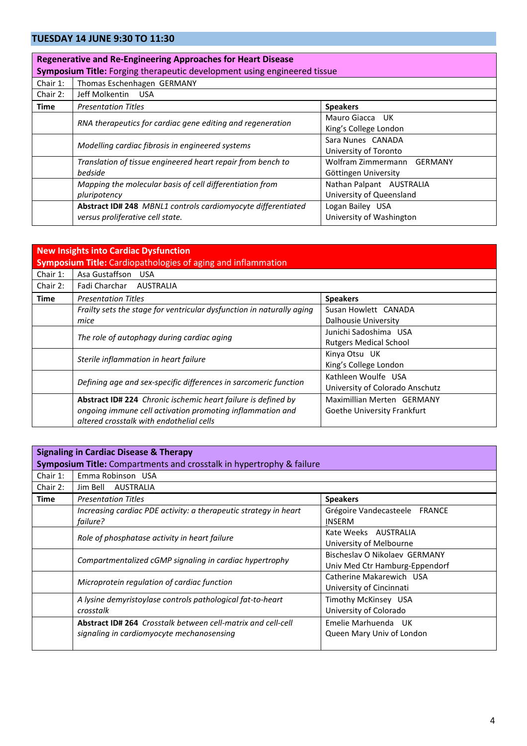### **TUESDAY 14 JUNE 9:30 TO 11:30**

|                                                                          | <b>Regenerative and Re-Engineering Approaches for Heart Disease</b> |                            |
|--------------------------------------------------------------------------|---------------------------------------------------------------------|----------------------------|
| Symposium Title: Forging therapeutic development using engineered tissue |                                                                     |                            |
| Chair 1:                                                                 | Thomas Eschenhagen GERMANY                                          |                            |
| Chair 2:                                                                 | Jeff Molkentin<br>USA                                               |                            |
| <b>Time</b><br><b>Presentation Titles</b><br><b>Speakers</b>             |                                                                     |                            |
|                                                                          | RNA therapeutics for cardiac gene editing and regeneration          | Mauro Giacca UK            |
|                                                                          |                                                                     | King's College London      |
|                                                                          | Modelling cardiac fibrosis in engineered systems                    | Sara Nunes CANADA          |
|                                                                          |                                                                     | University of Toronto      |
|                                                                          | Translation of tissue engineered heart repair from bench to         | Wolfram Zimmermann GERMANY |
|                                                                          | bedside                                                             | Göttingen University       |
|                                                                          | Mapping the molecular basis of cell differentiation from            | Nathan Palpant AUSTRALIA   |
|                                                                          | pluripotency                                                        | University of Queensland   |
|                                                                          | Abstract ID# 248 MBNL1 controls cardiomyocyte differentiated        | Logan Bailey USA           |
|                                                                          | versus proliferative cell state.                                    | University of Washington   |

| <b>New Insights into Cardiac Dysfunction</b><br><b>Symposium Title:</b> Cardiopathologies of aging and inflammation |                                                                       |                                 |
|---------------------------------------------------------------------------------------------------------------------|-----------------------------------------------------------------------|---------------------------------|
| Chair $1$ :                                                                                                         | Asa Gustaffson USA                                                    |                                 |
| Chair $2:$                                                                                                          | Fadi Charchar AUSTRALIA                                               |                                 |
| Time                                                                                                                | <b>Presentation Titles</b>                                            | <b>Speakers</b>                 |
|                                                                                                                     | Frailty sets the stage for ventricular dysfunction in naturally aging | Susan Howlett CANADA            |
|                                                                                                                     | mice                                                                  | Dalhousie University            |
|                                                                                                                     | The role of autophagy during cardiac aging                            | Junichi Sadoshima USA           |
|                                                                                                                     |                                                                       | <b>Rutgers Medical School</b>   |
|                                                                                                                     |                                                                       | Kinya Otsu UK                   |
|                                                                                                                     | Sterile inflammation in heart failure                                 | King's College London           |
|                                                                                                                     | Defining age and sex-specific differences in sarcomeric function      | Kathleen Woulfe USA             |
|                                                                                                                     |                                                                       | University of Colorado Anschutz |
|                                                                                                                     | Abstract ID# 224 Chronic ischemic heart failure is defined by         | Maximillian Merten GERMANY      |
|                                                                                                                     | ongoing immune cell activation promoting inflammation and             | Goethe University Frankfurt     |
|                                                                                                                     | altered crosstalk with endothelial cells                              |                                 |

| <b>Signaling in Cardiac Disease &amp; Therapy</b>                    |                                                                                                           |                                                                 |
|----------------------------------------------------------------------|-----------------------------------------------------------------------------------------------------------|-----------------------------------------------------------------|
| Symposium Title: Compartments and crosstalk in hypertrophy & failure |                                                                                                           |                                                                 |
| Chair $1$ :                                                          | Emma Robinson USA                                                                                         |                                                                 |
| Chair 2:                                                             | Jim Bell AUSTRALIA                                                                                        |                                                                 |
| Time                                                                 | <b>Presentation Titles</b>                                                                                | <b>Speakers</b>                                                 |
|                                                                      | Increasing cardiac PDE activity: a therapeutic strategy in heart<br>failure?                              | Grégoire Vandecasteele FRANCE<br><b>INSERM</b>                  |
|                                                                      | Role of phosphatase activity in heart failure                                                             | Kate Weeks AUSTRALIA<br>University of Melbourne                 |
|                                                                      | Compartmentalized cGMP signaling in cardiac hypertrophy                                                   | Bischeslay O Nikolaev GERMANY<br>Univ Med Ctr Hamburg-Eppendorf |
|                                                                      | Microprotein regulation of cardiac function                                                               | Catherine Makarewich USA<br>University of Cincinnati            |
|                                                                      | A lysine demyristoylase controls pathological fat-to-heart<br>crosstalk                                   | Timothy McKinsey USA<br>University of Colorado                  |
|                                                                      | Abstract ID# 264 Crosstalk between cell-matrix and cell-cell<br>signaling in cardiomyocyte mechanosensing | Emelie Marhuenda UK<br>Queen Mary Univ of London                |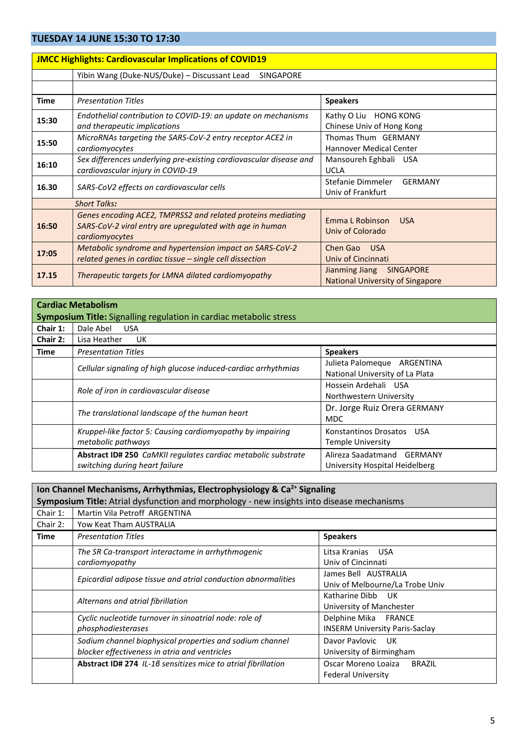## **TUESDAY 14 JUNE 15:30 TO 17:30**

| <u>ULJUAT ITJUNL IJ.JU TU ITJU</u>                             |                                                                                                                                           |                                                                               |
|----------------------------------------------------------------|-------------------------------------------------------------------------------------------------------------------------------------------|-------------------------------------------------------------------------------|
| <b>JMCC Highlights: Cardiovascular Implications of COVID19</b> |                                                                                                                                           |                                                                               |
|                                                                | Yibin Wang (Duke-NUS/Duke) - Discussant Lead<br><b>SINGAPORE</b>                                                                          |                                                                               |
|                                                                |                                                                                                                                           |                                                                               |
| <b>Time</b>                                                    | <b>Presentation Titles</b>                                                                                                                | <b>Speakers</b>                                                               |
| 15:30                                                          | Endothelial contribution to COVID-19: an update on mechanisms<br>and therapeutic implications                                             | Kathy O Liu HONG KONG<br>Chinese Univ of Hong Kong                            |
| 15:50                                                          | MicroRNAs targeting the SARS-CoV-2 entry receptor ACE2 in<br>cardiomyocytes                                                               | Thomas Thum GERMANY<br><b>Hannover Medical Center</b>                         |
| 16:10                                                          | Sex differences underlying pre-existing cardiovascular disease and<br>cardiovascular injury in COVID-19                                   | Mansoureh Eghbali USA<br><b>UCLA</b>                                          |
| 16.30                                                          | SARS-CoV2 effects on cardiovascular cells                                                                                                 | Stefanie Dimmeler<br><b>GERMANY</b><br>Univ of Frankfurt                      |
|                                                                | <b>Short Talks:</b>                                                                                                                       |                                                                               |
| 16:50                                                          | Genes encoding ACE2, TMPRSS2 and related proteins mediating<br>SARS-CoV-2 viral entry are upregulated with age in human<br>cardiomyocytes | <b>Emma L Robinson</b><br><b>USA</b><br>Univ of Colorado                      |
| 17:05                                                          | Metabolic syndrome and hypertension impact on SARS-CoV-2<br>related genes in cardiac tissue - single cell dissection                      | Chen Gao USA<br>Univ of Cincinnati                                            |
| 17.15                                                          | Therapeutic targets for LMNA dilated cardiomyopathy                                                                                       | Jianming Jiang<br><b>SINGAPORE</b><br><b>National University of Singapore</b> |

|             | <b>Cardiac Metabolism</b>                                                                       |                                                                 |  |
|-------------|-------------------------------------------------------------------------------------------------|-----------------------------------------------------------------|--|
|             | <b>Symposium Title:</b> Signalling regulation in cardiac metabolic stress                       |                                                                 |  |
| Chair 1:    | Dale Abel<br><b>USA</b>                                                                         |                                                                 |  |
| Chair 2:    | Lisa Heather<br>UK.                                                                             |                                                                 |  |
| <b>Time</b> | <b>Presentation Titles</b>                                                                      | <b>Speakers</b>                                                 |  |
|             | Cellular signaling of high glucose induced-cardiac arrhythmias                                  | Julieta Palomegue ARGENTINA<br>National University of La Plata  |  |
|             | Role of iron in cardiovascular disease                                                          | Hossein Ardehali USA<br>Northwestern University                 |  |
|             | The translational landscape of the human heart                                                  | Dr. Jorge Ruiz Orera GERMANY<br><b>MDC</b>                      |  |
|             | Kruppel-like factor 5: Causing cardiomyopathy by impairing<br>metabolic pathways                | Konstantinos Drosatos<br><b>USA</b><br><b>Temple University</b> |  |
|             | Abstract ID# 250 CaMKII regulates cardiac metabolic substrate<br>switching during heart failure | Alireza Saadatmand GERMANY<br>University Hospital Heidelberg    |  |

|                                                                                           | Ion Channel Mechanisms, Arrhythmias, Electrophysiology & Ca <sup>2+</sup> Signaling |                                       |  |
|-------------------------------------------------------------------------------------------|-------------------------------------------------------------------------------------|---------------------------------------|--|
| Symposium Title: Atrial dysfunction and morphology - new insights into disease mechanisms |                                                                                     |                                       |  |
| Chair $1$ :                                                                               | Martin Vila Petroff ARGENTINA                                                       |                                       |  |
| Chair 2:                                                                                  | Yow Keat Tham AUSTRALIA                                                             |                                       |  |
| Time                                                                                      | <b>Presentation Titles</b>                                                          | <b>Speakers</b>                       |  |
|                                                                                           | The SR Ca-transport interactome in arrhythmogenic                                   | Litsa Kranias USA                     |  |
|                                                                                           | cardiomyopathy                                                                      | Univ of Cincinnati                    |  |
|                                                                                           | Epicardial adipose tissue and atrial conduction abnormalities                       | James Bell AUSTRALIA                  |  |
|                                                                                           |                                                                                     | Univ of Melbourne/La Trobe Univ       |  |
|                                                                                           | Alternans and atrial fibrillation                                                   | Katharine Dibb<br>- UK                |  |
|                                                                                           |                                                                                     | University of Manchester              |  |
|                                                                                           | Cyclic nucleotide turnover in sinoatrial node: role of                              | Delphine Mika FRANCE                  |  |
|                                                                                           | phosphodiesterases                                                                  | <b>INSERM University Paris-Saclay</b> |  |
|                                                                                           | Sodium channel biophysical properties and sodium channel                            | Davor Paylovic UK                     |  |
|                                                                                           | blocker effectiveness in atria and ventricles                                       | University of Birmingham              |  |
|                                                                                           | Abstract ID# 274 IL-16 sensitizes mice to atrial fibrillation                       | Oscar Moreno Loaiza<br><b>BRAZIL</b>  |  |
|                                                                                           |                                                                                     | <b>Federal University</b>             |  |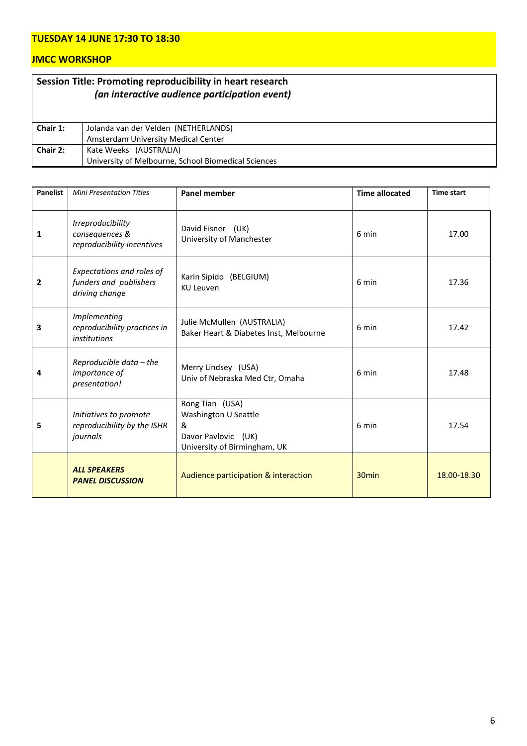### **TUESDAY 14 JUNE 17:30 TO 18:30**

### **JMCC WORKSHOP**

|          | Session Title: Promoting reproducibility in heart research<br>(an interactive audience participation event) |
|----------|-------------------------------------------------------------------------------------------------------------|
| Chair 1: | Jolanda van der Velden (NETHERLANDS)                                                                        |
|          | Amsterdam University Medical Center                                                                         |
| Chair 2: | Kate Weeks (AUSTRALIA)                                                                                      |
|          | University of Melbourne, School Biomedical Sciences                                                         |

| <b>Panelist</b> | <b>Mini Presentation Titles</b>                                       | <b>Panel member</b>                                                                                 | <b>Time allocated</b> | <b>Time start</b> |
|-----------------|-----------------------------------------------------------------------|-----------------------------------------------------------------------------------------------------|-----------------------|-------------------|
| 1               | Irreproducibility<br>consequences &<br>reproducibility incentives     | David Eisner (UK)<br>University of Manchester                                                       | 6 min                 | 17.00             |
| $\mathbf{2}$    | Expectations and roles of<br>funders and publishers<br>driving change | Karin Sipido (BELGIUM)<br><b>KU Leuven</b>                                                          | 6 min                 | 17.36             |
| 3               | Implementing<br>reproducibility practices in<br>institutions          | Julie McMullen (AUSTRALIA)<br>Baker Heart & Diabetes Inst, Melbourne                                | 6 min                 | 17.42             |
| 4               | Reproducible data - the<br>importance of<br>presentation!             | Merry Lindsey (USA)<br>Univ of Nebraska Med Ctr, Omaha                                              | 6 min                 | 17.48             |
| 5               | Initiatives to promote<br>reproducibility by the ISHR<br>journals     | Rong Tian (USA)<br>Washington U Seattle<br>&<br>Davor Pavlovic (UK)<br>University of Birmingham, UK | 6 min                 | 17.54             |
|                 | <b>ALL SPEAKERS</b><br><b>PANEL DISCUSSION</b>                        | Audience participation & interaction                                                                | 30 <sub>min</sub>     | 18.00-18.30       |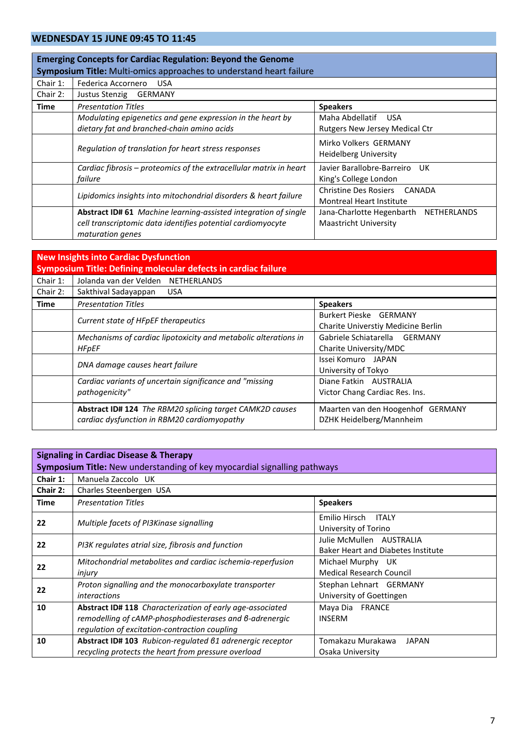### **WEDNESDAY 15 JUNE 09:45 TO 11:45**

|             | <b>Emerging Concepts for Cardiac Regulation: Beyond the Genome</b><br>Symposium Title: Multi-omics approaches to understand heart failure          |                                                                       |  |
|-------------|----------------------------------------------------------------------------------------------------------------------------------------------------|-----------------------------------------------------------------------|--|
| Chair 1:    | Federica Accornero<br><b>USA</b>                                                                                                                   |                                                                       |  |
| Chair 2:    | Justus Stenzig<br>GERMANY                                                                                                                          |                                                                       |  |
| <b>Time</b> | <b>Presentation Titles</b>                                                                                                                         | <b>Speakers</b>                                                       |  |
|             | Modulating epigenetics and gene expression in the heart by<br>dietary fat and branched-chain amino acids                                           | Maha Abdellatif USA<br><b>Rutgers New Jersey Medical Ctr</b>          |  |
|             | Regulation of translation for heart stress responses                                                                                               | Mirko Volkers GERMANY<br>Heidelberg University                        |  |
|             | Cardiac fibrosis – proteomics of the extracellular matrix in heart<br>failure                                                                      | Javier Barallobre-Barreiro UK<br>King's College London                |  |
|             | Lipidomics insights into mitochondrial disorders & heart failure                                                                                   | Christine Des Rosiers CANADA<br><b>Montreal Heart Institute</b>       |  |
|             | Abstract ID# 61 Machine learning-assisted integration of single<br>cell transcriptomic data identifies potential cardiomyocyte<br>maturation genes | Jana-Charlotte Hegenbarth NETHERLANDS<br><b>Maastricht University</b> |  |

|             | <b>New Insights into Cardiac Dysfunction</b>                                                            |                                                                     |  |
|-------------|---------------------------------------------------------------------------------------------------------|---------------------------------------------------------------------|--|
|             | Symposium Title: Defining molecular defects in cardiac failure                                          |                                                                     |  |
| Chair $1$ : | Jolanda van der Velden NETHERLANDS                                                                      |                                                                     |  |
| Chair 2:    | Sakthival Sadayappan<br><b>USA</b>                                                                      |                                                                     |  |
| Time        | <b>Presentation Titles</b>                                                                              | <b>Speakers</b>                                                     |  |
|             | Current state of HFpEF therapeutics                                                                     | <b>Burkert Pieske GERMANY</b><br>Charite Universtiy Medicine Berlin |  |
|             | Mechanisms of cardiac lipotoxicity and metabolic alterations in<br><b>HFpEF</b>                         | Gabriele Schiatarella GERMANY<br>Charite University/MDC             |  |
|             | DNA damage causes heart failure                                                                         | Issei Komuro JAPAN<br>University of Tokyo                           |  |
|             | Cardiac variants of uncertain significance and "missing<br>pathogenicity"                               | Diane Fatkin AUSTRALIA<br>Victor Chang Cardiac Res. Ins.            |  |
|             | Abstract ID# 124 The RBM20 splicing target CAMK2D causes<br>cardiac dysfunction in RBM20 cardiomyopathy | Maarten van den Hoogenhof GERMANY<br>DZHK Heidelberg/Mannheim       |  |

| <b>Signaling in Cardiac Disease &amp; Therapy</b>                        |                                                                                                                                                                              |                                                                       |
|--------------------------------------------------------------------------|------------------------------------------------------------------------------------------------------------------------------------------------------------------------------|-----------------------------------------------------------------------|
| Symposium Title: New understanding of key myocardial signalling pathways |                                                                                                                                                                              |                                                                       |
| Chair 1:                                                                 | Manuela Zaccolo UK                                                                                                                                                           |                                                                       |
| Chair 2:                                                                 | Charles Steenbergen USA                                                                                                                                                      |                                                                       |
| Time                                                                     | <b>Presentation Titles</b>                                                                                                                                                   | <b>Speakers</b>                                                       |
| 22                                                                       | Multiple facets of PI3Kinase signalling                                                                                                                                      | Emilio Hirsch ITALY<br>University of Torino                           |
| 22                                                                       | PI3K regulates atrial size, fibrosis and function                                                                                                                            | Julie McMullen AUSTRALIA<br><b>Baker Heart and Diabetes Institute</b> |
| 22                                                                       | Mitochondrial metabolites and cardiac ischemia-reperfusion<br>injury                                                                                                         | Michael Murphy UK<br><b>Medical Research Council</b>                  |
| 22                                                                       | Proton signalling and the monocarboxylate transporter<br><i>interactions</i>                                                                                                 | Stephan Lehnart GERMANY<br>University of Goettingen                   |
| 10                                                                       | <b>Abstract ID# 118</b> Characterization of early age-associated<br>remodelling of cAMP-phosphodiesterases and 6-adrenergic<br>regulation of excitation-contraction coupling | Maya Dia FRANCE<br><b>INSERM</b>                                      |
| 10                                                                       | Abstract ID# 103 Rubicon-regulated 61 adrenergic receptor<br>recycling protects the heart from pressure overload                                                             | Tomakazu Murakawa<br><b>JAPAN</b><br>Osaka University                 |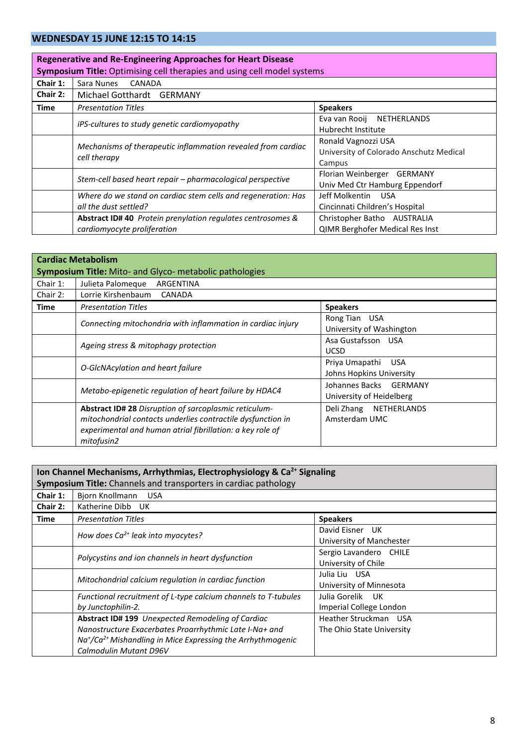### **WEDNESDAY 15 JUNE 12:15 TO 14:15**

|             | <b>Regenerative and Re-Engineering Approaches for Heart Disease</b>            |                                         |  |  |
|-------------|--------------------------------------------------------------------------------|-----------------------------------------|--|--|
|             | <b>Symposium Title:</b> Optimising cell therapies and using cell model systems |                                         |  |  |
| Chair 1:    | Sara Nunes<br>CANADA                                                           |                                         |  |  |
| Chair 2:    | Michael Gotthardt<br><b>GERMANY</b>                                            |                                         |  |  |
| <b>Time</b> | <b>Speakers</b><br><b>Presentation Titles</b>                                  |                                         |  |  |
|             |                                                                                | Eva van Rooij NETHERLANDS               |  |  |
|             | iPS-cultures to study genetic cardiomyopathy                                   | Hubrecht Institute                      |  |  |
|             | Mechanisms of therapeutic inflammation revealed from cardiac<br>cell therapy   | Ronald Vagnozzi USA                     |  |  |
|             |                                                                                | University of Colorado Anschutz Medical |  |  |
|             |                                                                                | Campus                                  |  |  |
|             |                                                                                | Florian Weinberger GERMANY              |  |  |
|             | Stem-cell based heart repair - pharmacological perspective                     | Univ Med Ctr Hamburg Eppendorf          |  |  |
|             | Where do we stand on cardiac stem cells and regeneration: Has                  | Jeff Molkentin USA                      |  |  |
|             | all the dust settled?                                                          | Cincinnati Children's Hospital          |  |  |
|             | Abstract ID#40 Protein prenylation regulates centrosomes &                     | Christopher Batho AUSTRALIA             |  |  |
|             | cardiomyocyte proliferation                                                    | <b>QIMR Berghofer Medical Res Inst</b>  |  |  |

|            | <b>Cardiac Metabolism</b><br><b>Symposium Title: Mito- and Glyco- metabolic pathologies</b>                                                                                                     |                                                    |  |
|------------|-------------------------------------------------------------------------------------------------------------------------------------------------------------------------------------------------|----------------------------------------------------|--|
| Chair 1:   | Julieta Palomegue ARGENTINA                                                                                                                                                                     |                                                    |  |
| Chair $2:$ | Lorrie Kirshenbaum CANADA                                                                                                                                                                       |                                                    |  |
| Time       | <b>Presentation Titles</b>                                                                                                                                                                      | <b>Speakers</b>                                    |  |
|            | Connecting mitochondria with inflammation in cardiac injury                                                                                                                                     | Rong Tian USA<br>University of Washington          |  |
|            | Ageing stress & mitophagy protection                                                                                                                                                            | Asa Gustafsson USA<br><b>UCSD</b>                  |  |
|            | O-GIcNAcylation and heart failure                                                                                                                                                               | Priya Umapathi USA<br>Johns Hopkins University     |  |
|            | Metabo-epigenetic regulation of heart failure by HDAC4                                                                                                                                          | Johannes Backs GERMANY<br>University of Heidelberg |  |
|            | Abstract ID# 28 Disruption of sarcoplasmic reticulum-<br>mitochondrial contacts underlies contractile dysfunction in<br>experimental and human atrial fibrillation: a key role of<br>mitofusin2 | Deli Zhang NETHERLANDS<br>Amsterdam UMC            |  |

|          | Ion Channel Mechanisms, Arrhythmias, Electrophysiology & Ca <sup>2+</sup> Signaling                                                             |                                               |  |
|----------|-------------------------------------------------------------------------------------------------------------------------------------------------|-----------------------------------------------|--|
|          | Symposium Title: Channels and transporters in cardiac pathology                                                                                 |                                               |  |
| Chair 1: | Bjorn Knollmann<br><b>USA</b>                                                                                                                   |                                               |  |
| Chair 2: | Katherine Dibb UK                                                                                                                               |                                               |  |
| Time     | <b>Presentation Titles</b>                                                                                                                      | <b>Speakers</b>                               |  |
|          | How does $Ca^{2+}$ leak into myocytes?                                                                                                          | David Eisner UK<br>University of Manchester   |  |
|          | Polycystins and ion channels in heart dysfunction                                                                                               | Sergio Lavandero CHILE<br>University of Chile |  |
|          | Mitochondrial calcium regulation in cardiac function                                                                                            | Julia Liu USA<br>University of Minnesota      |  |
|          | Functional recruitment of L-type calcium channels to T-tubules<br>by Junctophilin-2.                                                            | Julia Gorelik UK<br>Imperial College London   |  |
|          | Abstract ID# 199 Unexpected Remodeling of Cardiac                                                                                               | Heather Struckman USA                         |  |
|          | Nanostructure Exacerbates Proarrhythmic Late I-Na+ and<br>$Na+/Ca2+ Mishanding in Mice Expressing the Arrhythmogenic$<br>Calmodulin Mutant D96V | The Ohio State University                     |  |